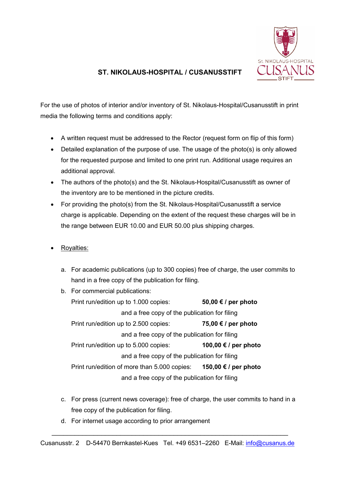

## **ST. NIKOLAUS-HOSPITAL / CUSANUSSTIFT**

For the use of photos of interior and/or inventory of St. Nikolaus-Hospital/Cusanusstift in print media the following terms and conditions apply:

- A written request must be addressed to the Rector (request form on flip of this form)
- Detailed explanation of the purpose of use. The usage of the photo(s) is only allowed for the requested purpose and limited to one print run. Additional usage requires an additional approval.
- The authors of the photo(s) and the St. Nikolaus-Hospital/Cusanusstift as owner of the inventory are to be mentioned in the picture credits.
- For providing the photo(s) from the St. Nikolaus-Hospital/Cusanusstift a service charge is applicable. Depending on the extent of the request these charges will be in the range between EUR 10.00 and EUR 50.00 plus shipping charges.
- Royalties:
	- a. For academic publications (up to 300 copies) free of charge, the user commits to hand in a free copy of the publication for filing.
	- b. For commercial publications: Print run/edition up to 1.000 copies: **50,00 € / per photo**  and a free copy of the publication for filing Print run/edition up to 2.500 copies: **75,00 € / per photo** and a free copy of the publication for filing Print run/edition up to 5.000 copies: **100,00 € / per photo**  and a free copy of the publication for filing Print run/edition of more than 5.000 copies: **150,00 € / per photo**  and a free copy of the publication for filing
	- c. For press (current news coverage): free of charge, the user commits to hand in a free copy of the publication for filing.
	- d. For internet usage according to prior arrangement